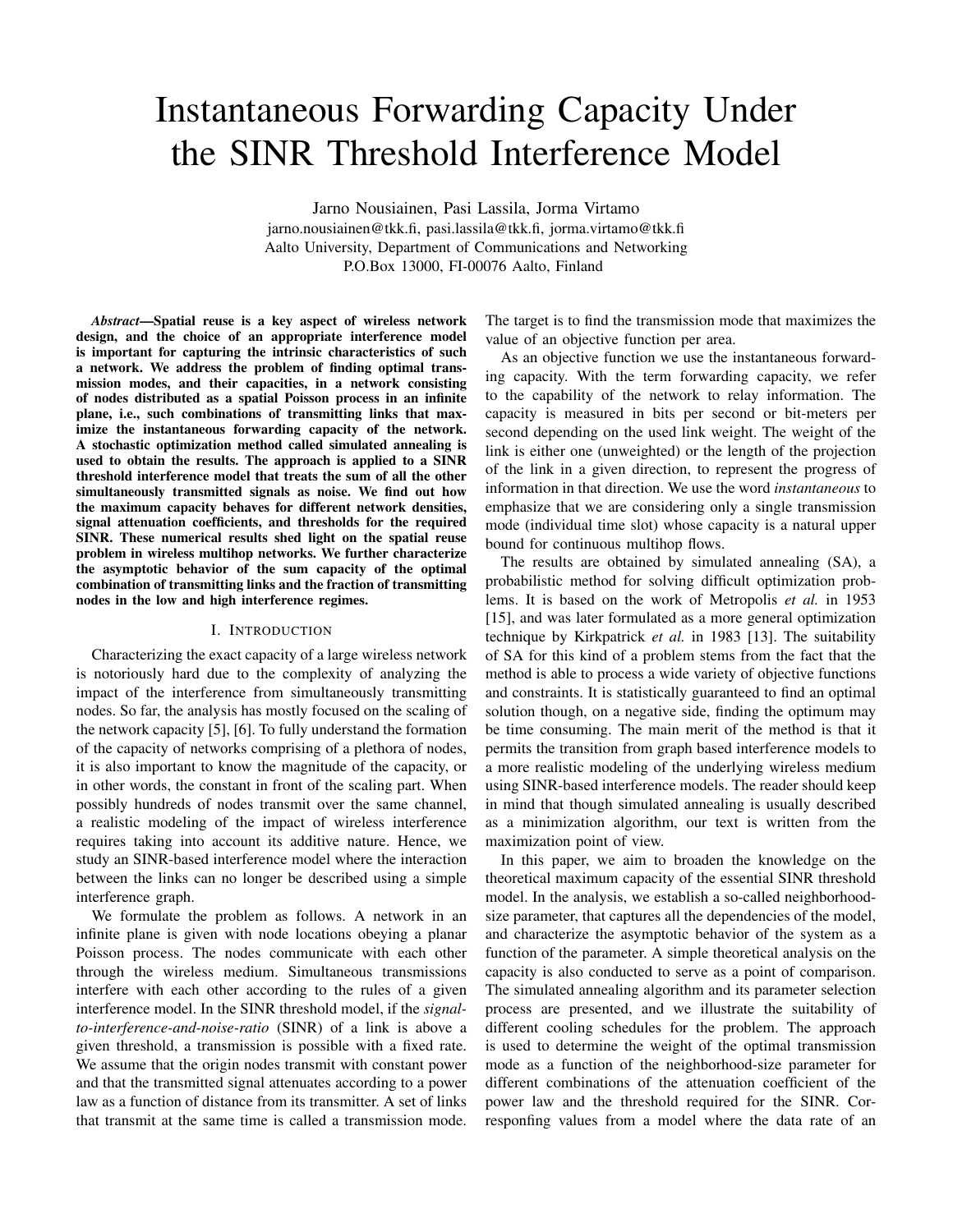# Instantaneous Forwarding Capacity Under the SINR Threshold Interference Model

Jarno Nousiainen, Pasi Lassila, Jorma Virtamo jarno.nousiainen@tkk.fi, pasi.lassila@tkk.fi, jorma.virtamo@tkk.fi Aalto University, Department of Communications and Networking P.O.Box 13000, FI-00076 Aalto, Finland

*Abstract*—Spatial reuse is a key aspect of wireless network design, and the choice of an appropriate interference model is important for capturing the intrinsic characteristics of such a network. We address the problem of finding optimal transmission modes, and their capacities, in a network consisting of nodes distributed as a spatial Poisson process in an infinite plane, i.e., such combinations of transmitting links that maximize the instantaneous forwarding capacity of the network. A stochastic optimization method called simulated annealing is used to obtain the results. The approach is applied to a SINR threshold interference model that treats the sum of all the other simultaneously transmitted signals as noise. We find out how the maximum capacity behaves for different network densities, signal attenuation coefficients, and thresholds for the required SINR. These numerical results shed light on the spatial reuse problem in wireless multihop networks. We further characterize the asymptotic behavior of the sum capacity of the optimal combination of transmitting links and the fraction of transmitting nodes in the low and high interference regimes.

#### I. INTRODUCTION

Characterizing the exact capacity of a large wireless network is notoriously hard due to the complexity of analyzing the impact of the interference from simultaneously transmitting nodes. So far, the analysis has mostly focused on the scaling of the network capacity [5], [6]. To fully understand the formation of the capacity of networks comprising of a plethora of nodes, it is also important to know the magnitude of the capacity, or in other words, the constant in front of the scaling part. When possibly hundreds of nodes transmit over the same channel, a realistic modeling of the impact of wireless interference requires taking into account its additive nature. Hence, we study an SINR-based interference model where the interaction between the links can no longer be described using a simple interference graph.

We formulate the problem as follows. A network in an infinite plane is given with node locations obeying a planar Poisson process. The nodes communicate with each other through the wireless medium. Simultaneous transmissions interfere with each other according to the rules of a given interference model. In the SINR threshold model, if the *signalto-interference-and-noise-ratio* (SINR) of a link is above a given threshold, a transmission is possible with a fixed rate. We assume that the origin nodes transmit with constant power and that the transmitted signal attenuates according to a power law as a function of distance from its transmitter. A set of links that transmit at the same time is called a transmission mode.

The target is to find the transmission mode that maximizes the value of an objective function per area.

As an objective function we use the instantaneous forwarding capacity. With the term forwarding capacity, we refer to the capability of the network to relay information. The capacity is measured in bits per second or bit-meters per second depending on the used link weight. The weight of the link is either one (unweighted) or the length of the projection of the link in a given direction, to represent the progress of information in that direction. We use the word *instantaneous* to emphasize that we are considering only a single transmission mode (individual time slot) whose capacity is a natural upper bound for continuous multihop flows.

The results are obtained by simulated annealing (SA), a probabilistic method for solving difficult optimization problems. It is based on the work of Metropolis *et al.* in 1953 [15], and was later formulated as a more general optimization technique by Kirkpatrick *et al.* in 1983 [13]. The suitability of SA for this kind of a problem stems from the fact that the method is able to process a wide variety of objective functions and constraints. It is statistically guaranteed to find an optimal solution though, on a negative side, finding the optimum may be time consuming. The main merit of the method is that it permits the transition from graph based interference models to a more realistic modeling of the underlying wireless medium using SINR-based interference models. The reader should keep in mind that though simulated annealing is usually described as a minimization algorithm, our text is written from the maximization point of view.

In this paper, we aim to broaden the knowledge on the theoretical maximum capacity of the essential SINR threshold model. In the analysis, we establish a so-called neighborhoodsize parameter, that captures all the dependencies of the model, and characterize the asymptotic behavior of the system as a function of the parameter. A simple theoretical analysis on the capacity is also conducted to serve as a point of comparison. The simulated annealing algorithm and its parameter selection process are presented, and we illustrate the suitability of different cooling schedules for the problem. The approach is used to determine the weight of the optimal transmission mode as a function of the neighborhood-size parameter for different combinations of the attenuation coefficient of the power law and the threshold required for the SINR. Corresponfing values from a model where the data rate of an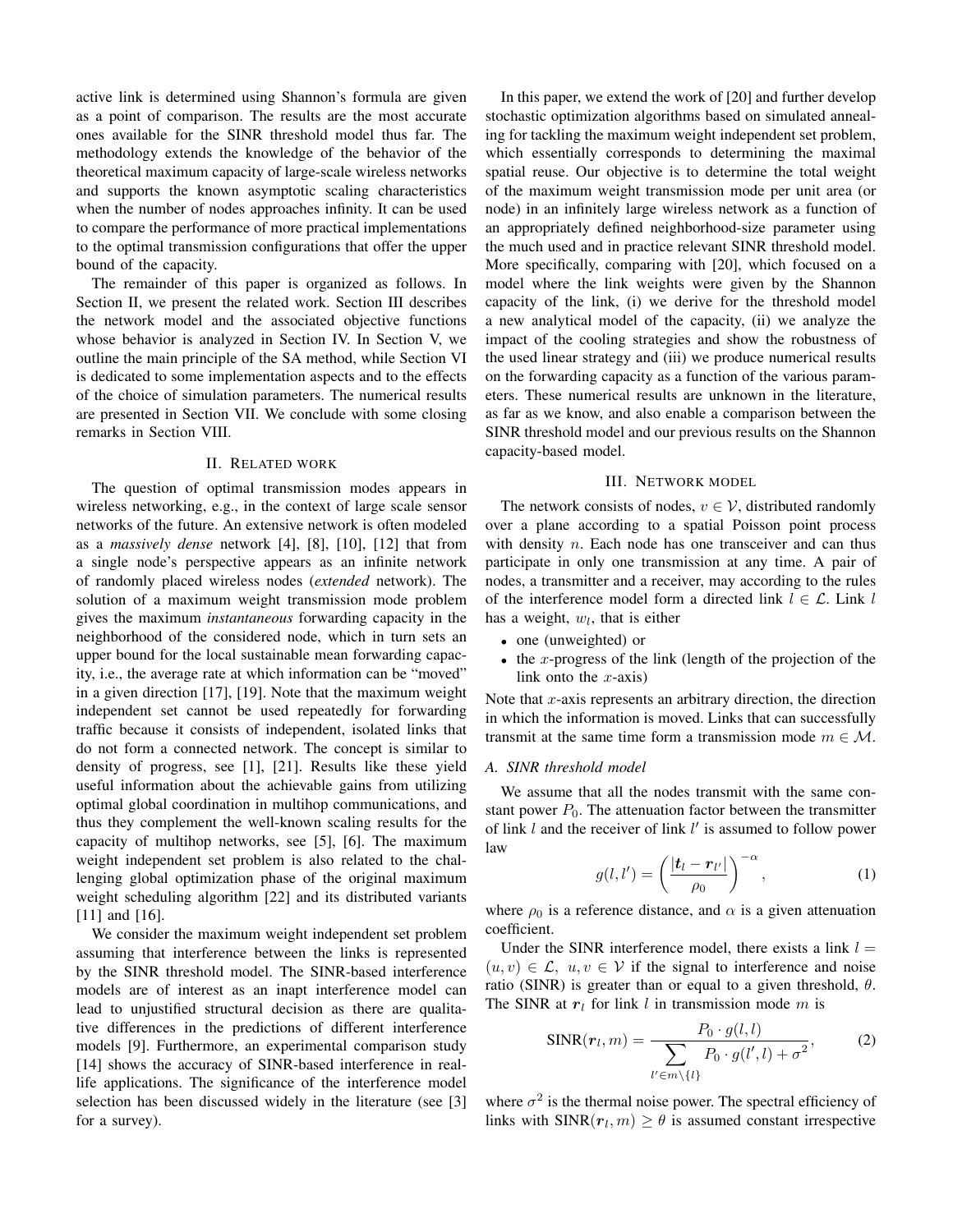active link is determined using Shannon's formula are given as a point of comparison. The results are the most accurate ones available for the SINR threshold model thus far. The methodology extends the knowledge of the behavior of the theoretical maximum capacity of large-scale wireless networks and supports the known asymptotic scaling characteristics when the number of nodes approaches infinity. It can be used to compare the performance of more practical implementations to the optimal transmission configurations that offer the upper bound of the capacity.

The remainder of this paper is organized as follows. In Section II, we present the related work. Section III describes the network model and the associated objective functions whose behavior is analyzed in Section IV. In Section V, we outline the main principle of the SA method, while Section VI is dedicated to some implementation aspects and to the effects of the choice of simulation parameters. The numerical results are presented in Section VII. We conclude with some closing remarks in Section VIII.

## II. RELATED WORK

The question of optimal transmission modes appears in wireless networking, e.g., in the context of large scale sensor networks of the future. An extensive network is often modeled as a *massively dense* network [4], [8], [10], [12] that from a single node's perspective appears as an infinite network of randomly placed wireless nodes (*extended* network). The solution of a maximum weight transmission mode problem gives the maximum *instantaneous* forwarding capacity in the neighborhood of the considered node, which in turn sets an upper bound for the local sustainable mean forwarding capacity, i.e., the average rate at which information can be "moved" in a given direction [17], [19]. Note that the maximum weight independent set cannot be used repeatedly for forwarding traffic because it consists of independent, isolated links that do not form a connected network. The concept is similar to density of progress, see [1], [21]. Results like these yield useful information about the achievable gains from utilizing optimal global coordination in multihop communications, and thus they complement the well-known scaling results for the capacity of multihop networks, see [5], [6]. The maximum weight independent set problem is also related to the challenging global optimization phase of the original maximum weight scheduling algorithm [22] and its distributed variants [11] and [16].

We consider the maximum weight independent set problem assuming that interference between the links is represented by the SINR threshold model. The SINR-based interference models are of interest as an inapt interference model can lead to unjustified structural decision as there are qualitative differences in the predictions of different interference models [9]. Furthermore, an experimental comparison study [14] shows the accuracy of SINR-based interference in reallife applications. The significance of the interference model selection has been discussed widely in the literature (see [3] for a survey).

In this paper, we extend the work of [20] and further develop stochastic optimization algorithms based on simulated annealing for tackling the maximum weight independent set problem, which essentially corresponds to determining the maximal spatial reuse. Our objective is to determine the total weight of the maximum weight transmission mode per unit area (or node) in an infinitely large wireless network as a function of an appropriately defined neighborhood-size parameter using the much used and in practice relevant SINR threshold model. More specifically, comparing with [20], which focused on a model where the link weights were given by the Shannon capacity of the link, (i) we derive for the threshold model a new analytical model of the capacity, (ii) we analyze the impact of the cooling strategies and show the robustness of the used linear strategy and (iii) we produce numerical results on the forwarding capacity as a function of the various parameters. These numerical results are unknown in the literature, as far as we know, and also enable a comparison between the SINR threshold model and our previous results on the Shannon capacity-based model.

#### III. NETWORK MODEL

The network consists of nodes,  $v \in V$ , distributed randomly over a plane according to a spatial Poisson point process with density  $n$ . Each node has one transceiver and can thus participate in only one transmission at any time. A pair of nodes, a transmitter and a receiver, may according to the rules of the interference model form a directed link  $l \in \mathcal{L}$ . Link l has a weight,  $w_l$ , that is either

- one (unweighted) or
- $\bullet$  the x-progress of the link (length of the projection of the link onto the  $x$ -axis)

Note that  $x$ -axis represents an arbitrary direction, the direction in which the information is moved. Links that can successfully transmit at the same time form a transmission mode  $m \in \mathcal{M}$ .

## *A. SINR threshold model*

We assume that all the nodes transmit with the same constant power  $P_0$ . The attenuation factor between the transmitter of link  $l$  and the receiver of link  $l'$  is assumed to follow power law

$$
g(l, l') = \left(\frac{|t_l - r_{l'}|}{\rho_0}\right)^{-\alpha},\tag{1}
$$

where  $\rho_0$  is a reference distance, and  $\alpha$  is a given attenuation coefficient.

Under the SINR interference model, there exists a link  $l =$  $(u, v) \in \mathcal{L}$ ,  $u, v \in \mathcal{V}$  if the signal to interference and noise ratio (SINR) is greater than or equal to a given threshold,  $\theta$ . The SINR at  $r_l$  for link l in transmission mode m is

$$
SINR(r_l, m) = \frac{P_0 \cdot g(l, l)}{\sum_{l' \in m \setminus \{l\}} P_0 \cdot g(l', l) + \sigma^2},
$$
 (2)

where  $\sigma^2$  is the thermal noise power. The spectral efficiency of links with SINR $(r_l, m) \geq \theta$  is assumed constant irrespective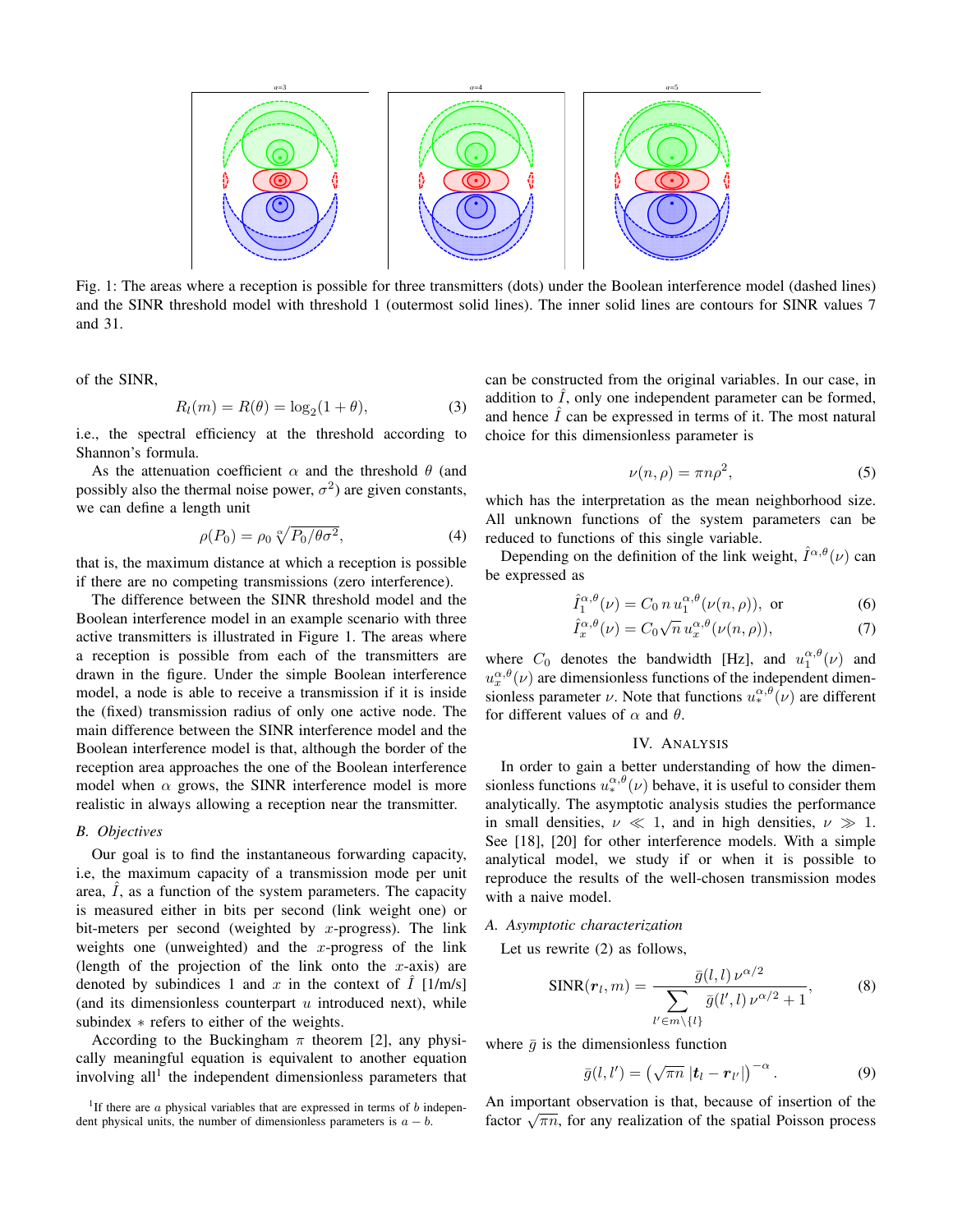

Fig. 1: The areas where a reception is possible for three transmitters (dots) under the Boolean interference model (dashed lines) and the SINR threshold model with threshold 1 (outermost solid lines). The inner solid lines are contours for SINR values 7 and 31.

of the SINR,

$$
R_l(m) = R(\theta) = \log_2(1+\theta),\tag{3}
$$

i.e., the spectral efficiency at the threshold according to Shannon's formula.

As the attenuation coefficient  $\alpha$  and the threshold  $\theta$  (and possibly also the thermal noise power,  $\sigma^2$ ) are given constants, we can define a length unit

$$
\rho(P_0) = \rho_0 \sqrt[\alpha]{P_0/\theta \sigma^2},\tag{4}
$$

that is, the maximum distance at which a reception is possible if there are no competing transmissions (zero interference).

The difference between the SINR threshold model and the Boolean interference model in an example scenario with three active transmitters is illustrated in Figure 1. The areas where a reception is possible from each of the transmitters are drawn in the figure. Under the simple Boolean interference model, a node is able to receive a transmission if it is inside the (fixed) transmission radius of only one active node. The main difference between the SINR interference model and the Boolean interference model is that, although the border of the reception area approaches the one of the Boolean interference model when  $\alpha$  grows, the SINR interference model is more realistic in always allowing a reception near the transmitter.

#### *B. Objectives*

Our goal is to find the instantaneous forwarding capacity, i.e, the maximum capacity of a transmission mode per unit area,  $I$ , as a function of the system parameters. The capacity is measured either in bits per second (link weight one) or bit-meters per second (weighted by x-progress). The link weights one (unweighted) and the  $x$ -progress of the link (length of the projection of the link onto the  $x$ -axis) are denoted by subindices 1 and x in the context of  $\hat{I}$  [1/m/s] (and its dimensionless counterpart  $u$  introduced next), while subindex ∗ refers to either of the weights.

According to the Buckingham  $\pi$  theorem [2], any physically meaningful equation is equivalent to another equation involving all<sup>1</sup> the independent dimensionless parameters that can be constructed from the original variables. In our case, in addition to  $I$ , only one independent parameter can be formed, and hence  $\hat{I}$  can be expressed in terms of it. The most natural choice for this dimensionless parameter is

$$
\nu(n,\rho) = \pi n \rho^2,\tag{5}
$$

which has the interpretation as the mean neighborhood size. All unknown functions of the system parameters can be reduced to functions of this single variable.

Depending on the definition of the link weight,  $\hat{I}^{\alpha,\theta}(\nu)$  can be expressed as

$$
\hat{I}_1^{\alpha,\theta}(\nu) = C_0 n u_1^{\alpha,\theta}(\nu(n,\rho)), \text{ or }
$$
 (6)

$$
\mathbf{I}_{x}^{\alpha,\theta}(\nu) = C_0 \sqrt{n} u_x^{\alpha,\theta}(\nu(n,\rho)),\tag{7}
$$

where  $C_0$  denotes the bandwidth [Hz], and  $u_1^{\alpha,\theta}(\nu)$  and  $u_x^{\alpha,\theta}(\nu)$  are dimensionless functions of the independent dimensionless parameter  $\nu$ . Note that functions  $u_*^{\alpha,\theta}(\nu)$  are different for different values of  $\alpha$  and  $\theta$ .

## IV. ANALYSIS

In order to gain a better understanding of how the dimensionless functions  $u_*^{\alpha,\theta}(\nu)$  behave, it is useful to consider them analytically. The asymptotic analysis studies the performance in small densities,  $\nu \ll 1$ , and in high densities,  $\nu \gg 1$ . See [18], [20] for other interference models. With a simple analytical model, we study if or when it is possible to reproduce the results of the well-chosen transmission modes with a naive model.

## *A. Asymptotic characterization*

Let us rewrite (2) as follows,

SINR
$$
(r_l, m) = \frac{\bar{g}(l, l) \nu^{\alpha/2}}{\sum_{l' \in m \setminus \{l\}} \bar{g}(l', l) \nu^{\alpha/2} + 1},
$$
 (8)

where  $\bar{q}$  is the dimensionless function

$$
\bar{g}(l,l') = \left(\sqrt{\pi n} |t_l - r_{l'}|\right)^{-\alpha}.
$$
 (9)

An important observation is that, because of insertion of the An important observation is that, because of insertion of the factor  $\sqrt{\pi n}$ , for any realization of the spatial Poisson process

<sup>&</sup>lt;sup>1</sup>If there are  $a$  physical variables that are expressed in terms of  $b$  independent physical units, the number of dimensionless parameters is  $a - b$ .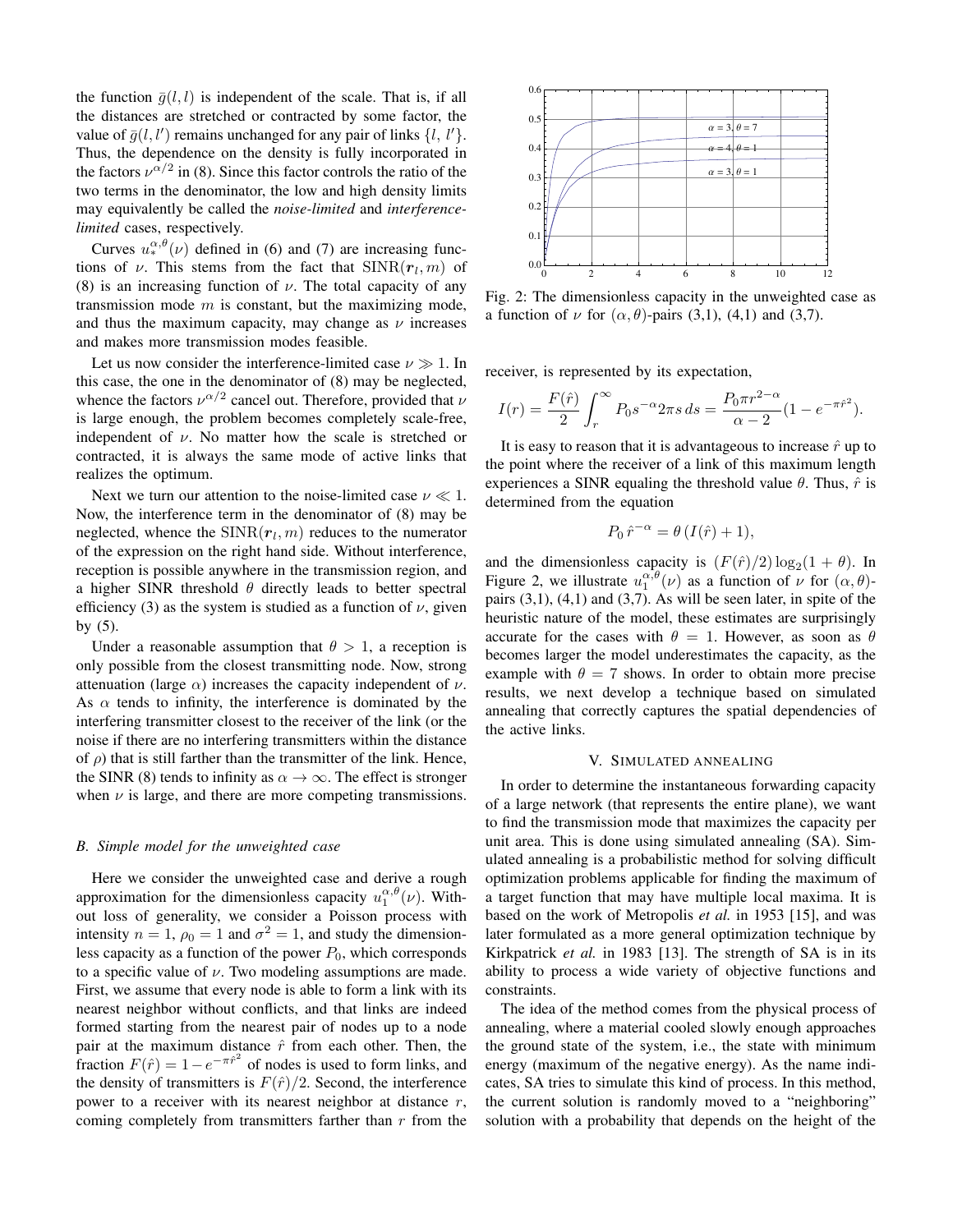the function  $\bar{q}(l, l)$  is independent of the scale. That is, if all the distances are stretched or contracted by some factor, the value of  $\bar{g}(l, l')$  remains unchanged for any pair of links  $\{l, l'\}$ . Thus, the dependence on the density is fully incorporated in the factors  $\nu^{\alpha/2}$  in (8). Since this factor controls the ratio of the two terms in the denominator, the low and high density limits may equivalently be called the *noise-limited* and *interferencelimited* cases, respectively.

Curves  $u_*^{\alpha,\theta}(\nu)$  defined in (6) and (7) are increasing functions of  $\nu$ . This stems from the fact that  $\text{SINR}(r_l, m)$  of (8) is an increasing function of  $\nu$ . The total capacity of any transmission mode  $m$  is constant, but the maximizing mode, and thus the maximum capacity, may change as  $\nu$  increases and makes more transmission modes feasible.

Let us now consider the interference-limited case  $\nu \gg 1$ . In this case, the one in the denominator of (8) may be neglected, whence the factors  $\nu^{\alpha/2}$  cancel out. Therefore, provided that  $\nu$ is large enough, the problem becomes completely scale-free, independent of  $\nu$ . No matter how the scale is stretched or contracted, it is always the same mode of active links that realizes the optimum.

Next we turn our attention to the noise-limited case  $\nu \ll 1$ . Now, the interference term in the denominator of (8) may be neglected, whence the  $\text{SINR}(r_l,m)$  reduces to the numerator of the expression on the right hand side. Without interference, reception is possible anywhere in the transmission region, and a higher SINR threshold  $\theta$  directly leads to better spectral efficiency (3) as the system is studied as a function of  $\nu$ , given by  $(5)$ .

Under a reasonable assumption that  $\theta > 1$ , a reception is only possible from the closest transmitting node. Now, strong attenuation (large  $\alpha$ ) increases the capacity independent of  $\nu$ . As  $\alpha$  tends to infinity, the interference is dominated by the interfering transmitter closest to the receiver of the link (or the noise if there are no interfering transmitters within the distance of  $\rho$ ) that is still farther than the transmitter of the link. Hence, the SINR (8) tends to infinity as  $\alpha \to \infty$ . The effect is stronger when  $\nu$  is large, and there are more competing transmissions.

## *B. Simple model for the unweighted case*

Here we consider the unweighted case and derive a rough approximation for the dimensionless capacity  $u_1^{\alpha,\theta}(\nu)$ . Without loss of generality, we consider a Poisson process with intensity  $n = 1$ ,  $\rho_0 = 1$  and  $\sigma^2 = 1$ , and study the dimensionless capacity as a function of the power  $P_0$ , which corresponds to a specific value of  $\nu$ . Two modeling assumptions are made. First, we assume that every node is able to form a link with its nearest neighbor without conflicts, and that links are indeed formed starting from the nearest pair of nodes up to a node pair at the maximum distance  $\hat{r}$  from each other. Then, the fraction  $F(\hat{r}) = 1 - e^{-\pi \hat{r}^2}$  of nodes is used to form links, and the density of transmitters is  $F(\hat{r})/2$ . Second, the interference power to a receiver with its nearest neighbor at distance  $r$ , coming completely from transmitters farther than  $r$  from the



Fig. 2: The dimensionless capacity in the unweighted case as a function of  $\nu$  for  $(\alpha, \theta)$ -pairs (3,1), (4,1) and (3,7).

receiver, is represented by its expectation,

$$
I(r) = \frac{F(\hat{r})}{2} \int_r^{\infty} P_0 s^{-\alpha} 2\pi s \, ds = \frac{P_0 \pi r^{2-\alpha}}{\alpha - 2} (1 - e^{-\pi \hat{r}^2}).
$$

It is easy to reason that it is advantageous to increase  $\hat{r}$  up to the point where the receiver of a link of this maximum length experiences a SINR equaling the threshold value  $\theta$ . Thus,  $\hat{r}$  is determined from the equation

$$
P_0\,\hat{r}^{-\alpha} = \theta\,(I(\hat{r}) + 1),
$$

and the dimensionless capacity is  $(F(\hat{r})/2) \log_2(1+\theta)$ . In Figure 2, we illustrate  $u_1^{\alpha,\theta}(\nu)$  as a function of  $\nu$  for  $(\alpha,\theta)$ pairs  $(3,1)$ ,  $(4,1)$  and  $(3,7)$ . As will be seen later, in spite of the heuristic nature of the model, these estimates are surprisingly accurate for the cases with  $\theta = 1$ . However, as soon as  $\theta$ becomes larger the model underestimates the capacity, as the example with  $\theta = 7$  shows. In order to obtain more precise results, we next develop a technique based on simulated annealing that correctly captures the spatial dependencies of the active links.

#### V. SIMULATED ANNEALING

In order to determine the instantaneous forwarding capacity of a large network (that represents the entire plane), we want to find the transmission mode that maximizes the capacity per unit area. This is done using simulated annealing (SA). Simulated annealing is a probabilistic method for solving difficult optimization problems applicable for finding the maximum of a target function that may have multiple local maxima. It is based on the work of Metropolis *et al.* in 1953 [15], and was later formulated as a more general optimization technique by Kirkpatrick *et al.* in 1983 [13]. The strength of SA is in its ability to process a wide variety of objective functions and constraints.

The idea of the method comes from the physical process of annealing, where a material cooled slowly enough approaches the ground state of the system, i.e., the state with minimum energy (maximum of the negative energy). As the name indicates, SA tries to simulate this kind of process. In this method, the current solution is randomly moved to a "neighboring" solution with a probability that depends on the height of the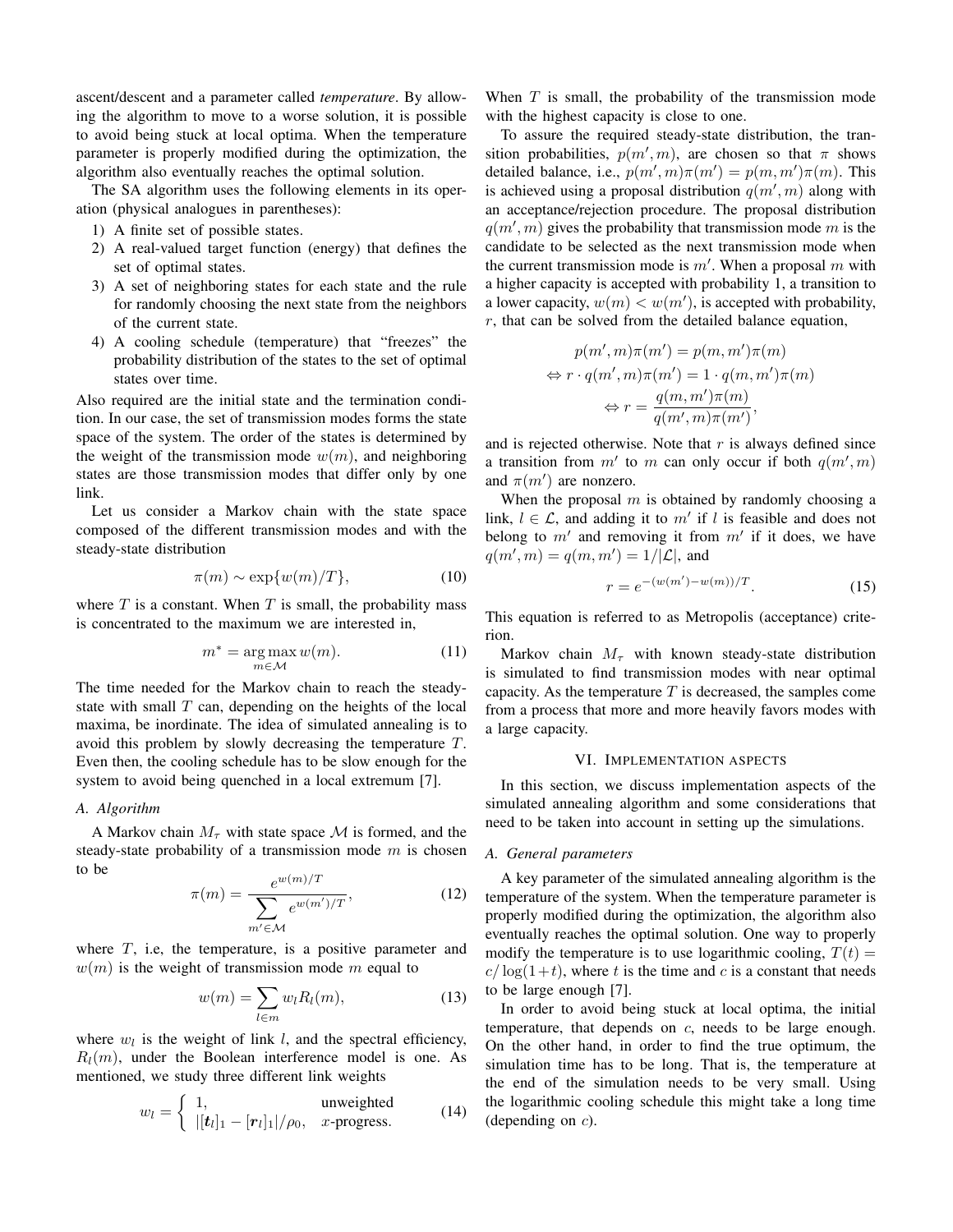ascent/descent and a parameter called *temperature*. By allowing the algorithm to move to a worse solution, it is possible to avoid being stuck at local optima. When the temperature parameter is properly modified during the optimization, the algorithm also eventually reaches the optimal solution.

The SA algorithm uses the following elements in its operation (physical analogues in parentheses):

- 1) A finite set of possible states.
- 2) A real-valued target function (energy) that defines the set of optimal states.
- 3) A set of neighboring states for each state and the rule for randomly choosing the next state from the neighbors of the current state.
- 4) A cooling schedule (temperature) that "freezes" the probability distribution of the states to the set of optimal states over time.

Also required are the initial state and the termination condition. In our case, the set of transmission modes forms the state space of the system. The order of the states is determined by the weight of the transmission mode  $w(m)$ , and neighboring states are those transmission modes that differ only by one link.

Let us consider a Markov chain with the state space composed of the different transmission modes and with the steady-state distribution

$$
\pi(m) \sim \exp\{w(m)/T\},\tag{10}
$$

where  $T$  is a constant. When  $T$  is small, the probability mass is concentrated to the maximum we are interested in,

$$
m^* = \underset{m \in \mathcal{M}}{\arg \max} w(m). \tag{11}
$$

The time needed for the Markov chain to reach the steadystate with small  $T$  can, depending on the heights of the local maxima, be inordinate. The idea of simulated annealing is to avoid this problem by slowly decreasing the temperature T. Even then, the cooling schedule has to be slow enough for the system to avoid being quenched in a local extremum [7].

#### *A. Algorithm*

A Markov chain  $M_{\tau}$  with state space M is formed, and the steady-state probability of a transmission mode  $m$  is chosen to be

$$
\pi(m) = \frac{e^{w(m)/T}}{\sum_{m' \in \mathcal{M}} e^{w(m')/T}},\tag{12}
$$

where  $T$ , i.e, the temperature, is a positive parameter and  $w(m)$  is the weight of transmission mode m equal to

$$
w(m) = \sum_{l \in m} w_l R_l(m), \qquad (13)
$$

where  $w_l$  is the weight of link l, and the spectral efficiency,  $R_l(m)$ , under the Boolean interference model is one. As mentioned, we study three different link weights

$$
w_l = \begin{cases} 1, & \text{unweighted} \\ |[\boldsymbol{t}_l]_1 - [\boldsymbol{r}_l]_1|/\rho_0, & x\text{-progress.} \end{cases} \tag{14}
$$

When  $T$  is small, the probability of the transmission mode with the highest capacity is close to one.

To assure the required steady-state distribution, the transition probabilities,  $p(m', m)$ , are chosen so that  $\pi$  shows detailed balance, i.e.,  $p(m', m)\pi(m') = p(m, m')\pi(m)$ . This is achieved using a proposal distribution  $q(m', m)$  along with an acceptance/rejection procedure. The proposal distribution  $q(m', m)$  gives the probability that transmission mode m is the candidate to be selected as the next transmission mode when the current transmission mode is  $m'$ . When a proposal  $m$  with a higher capacity is accepted with probability 1, a transition to a lower capacity,  $w(m) < w(m')$ , is accepted with probability,  $r$ , that can be solved from the detailed balance equation,

$$
p(m', m)\pi(m') = p(m, m')\pi(m)
$$
  
\n
$$
\Leftrightarrow r \cdot q(m', m)\pi(m') = 1 \cdot q(m, m')\pi(m)
$$
  
\n
$$
\Leftrightarrow r = \frac{q(m, m')\pi(m)}{q(m', m)\pi(m')}
$$

and is rejected otherwise. Note that  $r$  is always defined since a transition from m' to m can only occur if both  $q(m', m)$ and  $\pi(m')$  are nonzero.

When the proposal  $m$  is obtained by randomly choosing a link,  $l \in \mathcal{L}$ , and adding it to m' if l is feasible and does not belong to  $m'$  and removing it from  $m'$  if it does, we have  $q(m', m) = q(m, m') = 1/|\mathcal{L}|$ , and

$$
r = e^{-(w(m') - w(m))/T}.
$$
 (15)

This equation is referred to as Metropolis (acceptance) criterion.

Markov chain  $M_{\tau}$  with known steady-state distribution is simulated to find transmission modes with near optimal capacity. As the temperature  $T$  is decreased, the samples come from a process that more and more heavily favors modes with a large capacity.

## VI. IMPLEMENTATION ASPECTS

In this section, we discuss implementation aspects of the simulated annealing algorithm and some considerations that need to be taken into account in setting up the simulations.

## *A. General parameters*

A key parameter of the simulated annealing algorithm is the temperature of the system. When the temperature parameter is properly modified during the optimization, the algorithm also eventually reaches the optimal solution. One way to properly modify the temperature is to use logarithmic cooling,  $T(t) =$  $c/\log(1+t)$ , where t is the time and c is a constant that needs to be large enough [7].

In order to avoid being stuck at local optima, the initial temperature, that depends on c, needs to be large enough. On the other hand, in order to find the true optimum, the simulation time has to be long. That is, the temperature at the end of the simulation needs to be very small. Using the logarithmic cooling schedule this might take a long time (depending on  $c$ ).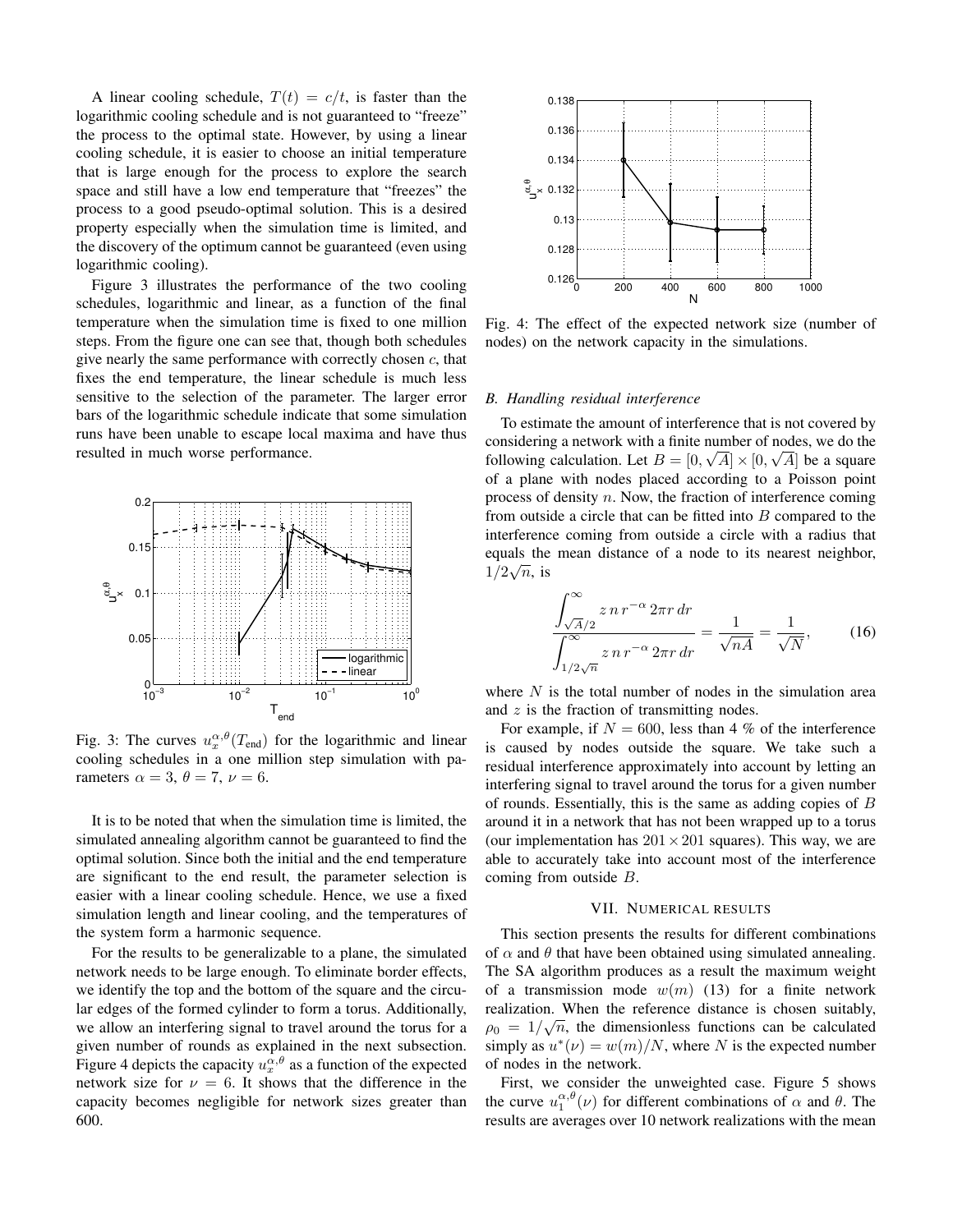A linear cooling schedule,  $T(t) = c/t$ , is faster than the logarithmic cooling schedule and is not guaranteed to "freeze" the process to the optimal state. However, by using a linear cooling schedule, it is easier to choose an initial temperature that is large enough for the process to explore the search space and still have a low end temperature that "freezes" the process to a good pseudo-optimal solution. This is a desired property especially when the simulation time is limited, and the discovery of the optimum cannot be guaranteed (even using logarithmic cooling).

Figure 3 illustrates the performance of the two cooling schedules, logarithmic and linear, as a function of the final temperature when the simulation time is fixed to one million steps. From the figure one can see that, though both schedules give nearly the same performance with correctly chosen  $c$ , that fixes the end temperature, the linear schedule is much less sensitive to the selection of the parameter. The larger error bars of the logarithmic schedule indicate that some simulation runs have been unable to escape local maxima and have thus resulted in much worse performance.



Fig. 3: The curves  $u_x^{\alpha,\theta}(T_{\text{end}})$  for the logarithmic and linear cooling schedules in a one million step simulation with parameters  $\alpha = 3$ ,  $\theta = 7$ ,  $\nu = 6$ .

It is to be noted that when the simulation time is limited, the simulated annealing algorithm cannot be guaranteed to find the optimal solution. Since both the initial and the end temperature are significant to the end result, the parameter selection is easier with a linear cooling schedule. Hence, we use a fixed simulation length and linear cooling, and the temperatures of the system form a harmonic sequence.

For the results to be generalizable to a plane, the simulated network needs to be large enough. To eliminate border effects, we identify the top and the bottom of the square and the circular edges of the formed cylinder to form a torus. Additionally, we allow an interfering signal to travel around the torus for a given number of rounds as explained in the next subsection. Figure 4 depicts the capacity  $u_x^{\alpha,\theta}$  as a function of the expected network size for  $\nu = 6$ . It shows that the difference in the capacity becomes negligible for network sizes greater than 600.



Fig. 4: The effect of the expected network size (number of nodes) on the network capacity in the simulations.

#### *B. Handling residual interference*

To estimate the amount of interference that is not covered by considering a network with a finite number of nodes, we do the following calculation. Let  $B = [0, \sqrt{A}] \times [0, \sqrt{A}]$  be a square of a plane with nodes placed according to a Poisson point process of density  $n$ . Now, the fraction of interference coming from outside a circle that can be fitted into  $B$  compared to the interference coming from outside a circle with a radius that equals the mean distance of a node to its nearest neighbor,  $1/2\sqrt{n}$ , is

$$
\frac{\int_{\sqrt{A}/2}^{\infty} z \, n \, r^{-\alpha} \, 2\pi r \, dr}{\int_{1/2\sqrt{n}}^{\infty} z \, n \, r^{-\alpha} \, 2\pi r \, dr} = \frac{1}{\sqrt{nA}} = \frac{1}{\sqrt{N}},\tag{16}
$$

where  $N$  is the total number of nodes in the simulation area and  $z$  is the fraction of transmitting nodes.

For example, if  $N = 600$ , less than 4 % of the interference is caused by nodes outside the square. We take such a residual interference approximately into account by letting an interfering signal to travel around the torus for a given number of rounds. Essentially, this is the same as adding copies of  $B$ around it in a network that has not been wrapped up to a torus (our implementation has  $201 \times 201$  squares). This way, we are able to accurately take into account most of the interference coming from outside B.

## VII. NUMERICAL RESULTS

This section presents the results for different combinations of  $\alpha$  and  $\theta$  that have been obtained using simulated annealing. The SA algorithm produces as a result the maximum weight of a transmission mode  $w(m)$  (13) for a finite network realization. When the reference distance is chosen suitably,  $\rho_0 = 1/\sqrt{n}$ , the dimensionless functions can be calculated simply as  $u^*(\nu) = w(m)/N$ , where N is the expected number of nodes in the network.

First, we consider the unweighted case. Figure 5 shows the curve  $u_1^{\alpha,\theta}(\nu)$  for different combinations of  $\alpha$  and  $\theta$ . The results are averages over 10 network realizations with the mean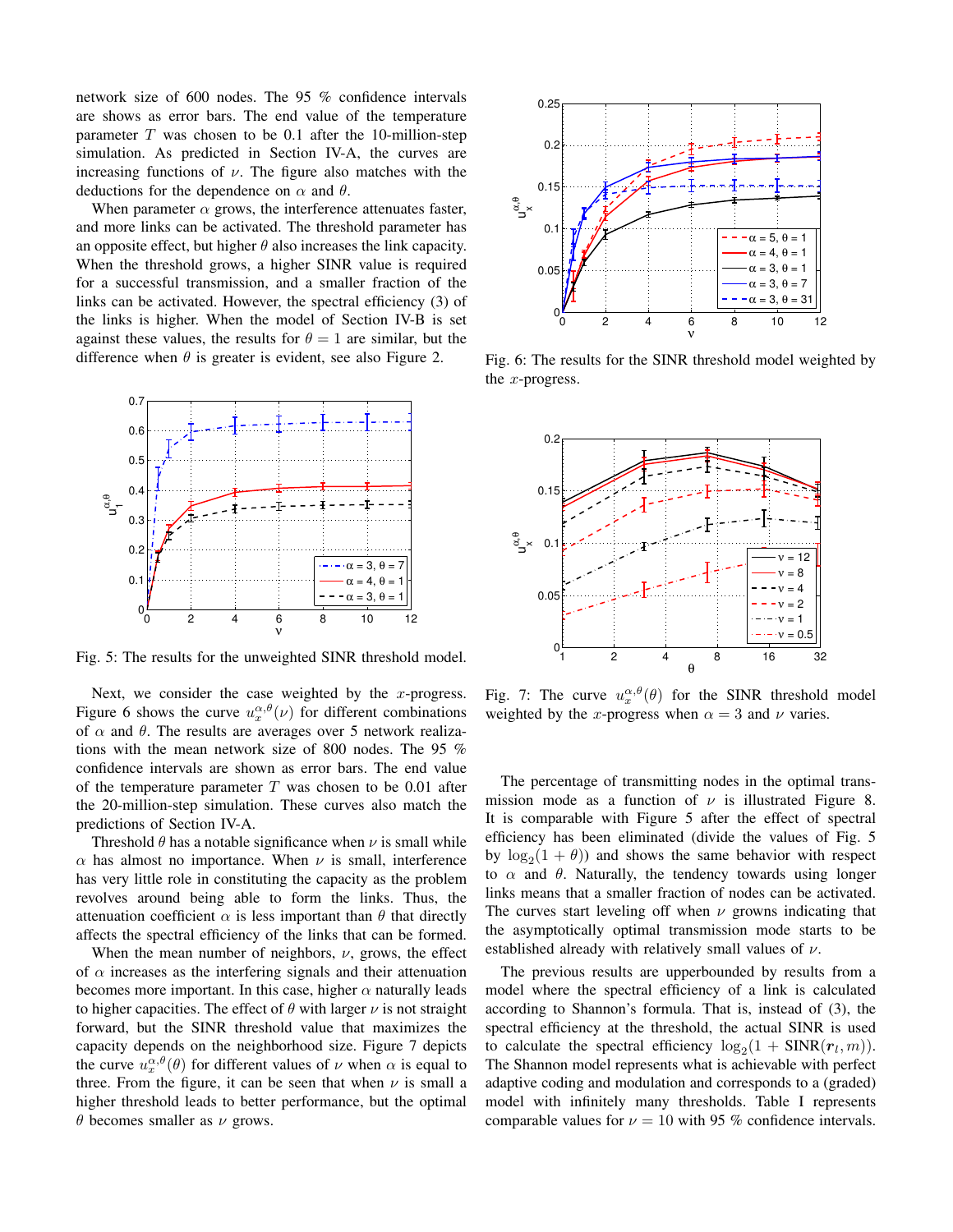network size of 600 nodes. The 95 % confidence intervals are shows as error bars. The end value of the temperature parameter  $T$  was chosen to be 0.1 after the 10-million-step simulation. As predicted in Section IV-A, the curves are increasing functions of  $\nu$ . The figure also matches with the deductions for the dependence on  $\alpha$  and  $\theta$ .

When parameter  $\alpha$  grows, the interference attenuates faster, and more links can be activated. The threshold parameter has an opposite effect, but higher  $\theta$  also increases the link capacity. When the threshold grows, a higher SINR value is required for a successful transmission, and a smaller fraction of the links can be activated. However, the spectral efficiency (3) of the links is higher. When the model of Section IV-B is set against these values, the results for  $\theta = 1$  are similar, but the difference when  $\theta$  is greater is evident, see also Figure 2.



Fig. 5: The results for the unweighted SINR threshold model.

Next, we consider the case weighted by the  $x$ -progress. Figure 6 shows the curve  $u_x^{\alpha,\theta}(\nu)$  for different combinations of  $\alpha$  and  $\theta$ . The results are averages over 5 network realizations with the mean network size of 800 nodes. The 95 % confidence intervals are shown as error bars. The end value of the temperature parameter  $T$  was chosen to be 0.01 after the 20-million-step simulation. These curves also match the predictions of Section IV-A.

Threshold  $\theta$  has a notable significance when  $\nu$  is small while  $\alpha$  has almost no importance. When  $\nu$  is small, interference has very little role in constituting the capacity as the problem revolves around being able to form the links. Thus, the attenuation coefficient  $\alpha$  is less important than  $\theta$  that directly affects the spectral efficiency of the links that can be formed.

When the mean number of neighbors,  $\nu$ , grows, the effect of  $\alpha$  increases as the interfering signals and their attenuation becomes more important. In this case, higher  $\alpha$  naturally leads to higher capacities. The effect of  $\theta$  with larger  $\nu$  is not straight forward, but the SINR threshold value that maximizes the capacity depends on the neighborhood size. Figure 7 depicts the curve  $u_x^{\alpha,\theta}(\theta)$  for different values of  $\nu$  when  $\alpha$  is equal to three. From the figure, it can be seen that when  $\nu$  is small a higher threshold leads to better performance, but the optimal  $\theta$  becomes smaller as  $\nu$  grows.



Fig. 6: The results for the SINR threshold model weighted by the x-progress.



Fig. 7: The curve  $u_x^{\alpha,\theta}(\theta)$  for the SINR threshold model weighted by the x-progress when  $\alpha = 3$  and  $\nu$  varies.

The percentage of transmitting nodes in the optimal transmission mode as a function of  $\nu$  is illustrated Figure 8. It is comparable with Figure 5 after the effect of spectral efficiency has been eliminated (divide the values of Fig. 5 by  $\log_2(1 + \theta)$  and shows the same behavior with respect to  $\alpha$  and  $\theta$ . Naturally, the tendency towards using longer links means that a smaller fraction of nodes can be activated. The curves start leveling off when  $\nu$  growns indicating that the asymptotically optimal transmission mode starts to be established already with relatively small values of  $\nu$ .

The previous results are upperbounded by results from a model where the spectral efficiency of a link is calculated according to Shannon's formula. That is, instead of (3), the spectral efficiency at the threshold, the actual SINR is used to calculate the spectral efficiency  $log_2(1 + SINR(r_l, m))$ . The Shannon model represents what is achievable with perfect adaptive coding and modulation and corresponds to a (graded) model with infinitely many thresholds. Table I represents comparable values for  $\nu = 10$  with 95 % confidence intervals.